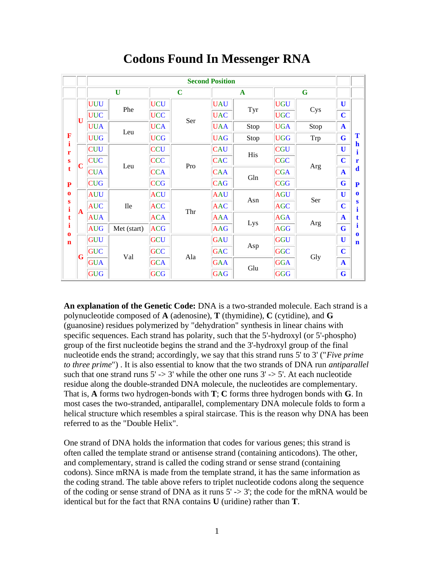|                   |   | <b>Second Position</b> |             |            |             |              |      |            |      |              |                  |
|-------------------|---|------------------------|-------------|------------|-------------|--------------|------|------------|------|--------------|------------------|
|                   |   |                        | $\mathbf U$ |            | $\mathbf C$ | $\mathbf{A}$ |      | G          |      |              |                  |
|                   | U | <b>UUU</b>             | Phe         | <b>UCU</b> | Ser         | <b>UAU</b>   | Tyr  | <b>UGU</b> | Cys  | $\mathbf U$  |                  |
|                   |   | <b>UUC</b>             |             | <b>UCC</b> |             | <b>UAC</b>   |      | <b>UGC</b> |      | $\mathbf C$  |                  |
|                   |   | <b>UUA</b>             | Leu         | <b>UCA</b> |             | <b>UAA</b>   | Stop | <b>UGA</b> | Stop | $\mathbf{A}$ |                  |
| F                 |   | <b>UUG</b>             |             | <b>UCG</b> |             | <b>UAG</b>   | Stop | <b>UGG</b> | Trp  | $\bf G$      | Т                |
| $\mathbf{i}$<br>r | C | <b>CUU</b>             |             | <b>CCU</b> |             | <b>CAU</b>   | His  | <b>CGU</b> |      | U            | $\mathbf h$      |
| S                 |   | <b>CUC</b>             |             | <b>CCC</b> | Pro         | <b>CAC</b>   |      | <b>CGC</b> |      | $\mathbf C$  | r                |
| t                 |   | <b>CUA</b>             | Leu         | <b>CCA</b> |             | <b>CAA</b>   | Gln  | CGA        | Arg  | $\mathbf{A}$ | d                |
| ${\bf P}$         |   | <b>CUG</b>             |             | CCG        |             | <b>CAG</b>   |      | <b>CGG</b> |      | G            | P                |
| $\bf{0}$          |   | <b>AUU</b>             |             | <b>ACU</b> |             | <b>AAU</b>   | Asn  | <b>AGU</b> | Ser  | U            | $\mathbf o$      |
| S<br>$\mathbf{i}$ | A | <b>AUC</b>             | <b>Ile</b>  | <b>ACC</b> | Thr         | <b>AAC</b>   |      | <b>AGC</b> |      | $\mathbf C$  | s                |
| t                 |   | <b>AUA</b>             |             | <b>ACA</b> |             | <b>AAA</b>   |      | <b>AGA</b> |      | $\mathbf A$  |                  |
| i<br>$\bf{0}$     |   | <b>AUG</b>             | Met (start) | <b>ACG</b> |             | <b>AAG</b>   | Lys  | <b>AGG</b> | Arg  | $\bf G$      | п<br>$\mathbf o$ |
| $\mathbf n$       |   | <b>GUU</b>             |             | GCU        |             | <b>GAU</b>   |      | <b>GGU</b> |      | $\mathbf U$  | n                |
|                   | G | <b>GUC</b>             | Val         | GCC        | Ala         | <b>GAC</b>   | Asp  | <b>GGC</b> | Gly  | $\mathbf C$  |                  |
|                   |   | GUA                    |             | <b>GCA</b> |             | <b>GAA</b>   | Glu  | <b>GGA</b> |      | $\mathbf{A}$ |                  |
|                   |   | GUG                    |             | GCG        |             | <b>GAG</b>   |      | <b>GGG</b> |      | G            |                  |

## **Codons Found In Messenger RNA**

**An explanation of the Genetic Code:** DNA is a two-stranded molecule. Each strand is a polynucleotide composed of **A** (adenosine), **T** (thymidine), **C** (cytidine), and **G** (guanosine) residues polymerized by "dehydration" synthesis in linear chains with specific sequences. Each strand has polarity, such that the 5'-hydroxyl (or 5'-phospho) group of the first nucleotide begins the strand and the 3'-hydroxyl group of the final nucleotide ends the strand; accordingly, we say that this strand runs 5' to 3' ("*Five prime to three prime*") . It is also essential to know that the two strands of DNA run *antiparallel* such that one strand runs  $5' \rightarrow 3'$  while the other one runs  $3' \rightarrow 5'$ . At each nucleotide residue along the double-stranded DNA molecule, the nucleotides are complementary. That is, **A** forms two hydrogen-bonds with **T**; **C** forms three hydrogen bonds with **G**. In most cases the two-stranded, antiparallel, complementary DNA molecule folds to form a helical structure which resembles a spiral staircase. This is the reason why DNA has been referred to as the "Double Helix".

One strand of DNA holds the information that codes for various genes; this strand is often called the template strand or antisense strand (containing anticodons). The other, and complementary, strand is called the coding strand or sense strand (containing codons). Since mRNA is made from the template strand, it has the same information as the coding strand. The table above refers to triplet nucleotide codons along the sequence of the coding or sense strand of DNA as it runs  $5' \rightarrow 3'$ ; the code for the mRNA would be identical but for the fact that RNA contains **U** (uridine) rather than **T**.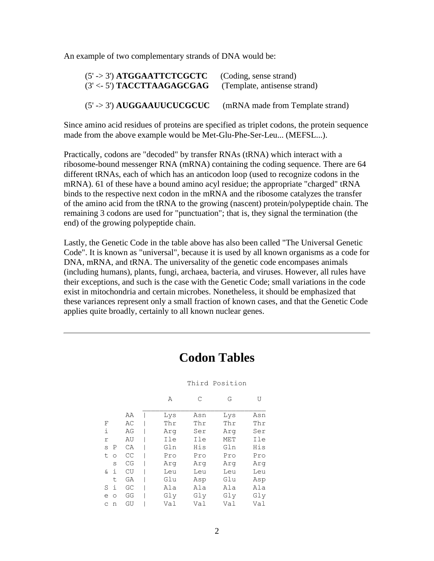An example of two complementary strands of DNA would be:

| $(5' \rightarrow 3')$ ATGGAATTCTCGCTC | (Coding, sense strand)           |
|---------------------------------------|----------------------------------|
| $(3' < 5')$ TACCTTAAGAGCGAG           | (Template, antisense strand)     |
| $(5' \rightarrow 3')$ AUGGAAUUCUCGCUC | (mRNA made from Template strand) |

Since amino acid residues of proteins are specified as triplet codons, the protein sequence made from the above example would be Met-Glu-Phe-Ser-Leu... (MEFSL...).

Practically, codons are "decoded" by transfer RNAs (tRNA) which interact with a ribosome-bound messenger RNA (mRNA) containing the coding sequence. There are 64 different tRNAs, each of which has an anticodon loop (used to recognize codons in the mRNA). 61 of these have a bound amino acyl residue; the appropriate "charged" tRNA binds to the respective next codon in the mRNA and the ribosome catalyzes the transfer of the amino acid from the tRNA to the growing (nascent) protein/polypeptide chain. The remaining 3 codons are used for "punctuation"; that is, they signal the termination (the end) of the growing polypeptide chain.

Lastly, the Genetic Code in the table above has also been called "The Universal Genetic Code". It is known as "universal", because it is used by all known organisms as a code for DNA, mRNA, and tRNA. The universality of the genetic code encompases animals (including humans), plants, fungi, archaea, bacteria, and viruses. However, all rules have their exceptions, and such is the case with the Genetic Code; small variations in the code exist in mitochondria and certain microbes. Nonetheless, it should be emphasized that these variances represent only a small fraction of known cases, and that the Genetic Code applies quite broadly, certainly to all known nuclear genes.

## **Codon Tables**

## Third Position

|    |         |    | Α   | С   | G   | U   |
|----|---------|----|-----|-----|-----|-----|
|    |         | ΑA | Lys | Asn | Lys | Asn |
| F  |         | AС | Thr | Thr | Thr | Thr |
| i  |         | AG | Arq | Ser | Arg | Ser |
| r  |         | AU | Ile | Ile | MET | Ile |
| S  | P       | CA | Gln | His | Gln | His |
| t  | $\circ$ | CC | Pro | Pro | Pro | Pro |
|    | S       | CG | Arq | Arq | Arq | Arq |
| &. | i       | CU | Leu | Leu | Leu | Leu |
|    | t.      | GA | Glu | Asp | Glu | Asp |
| S  | i       | GC | Ala | Ala | Ala | Ala |
| e  | $\circ$ | GG | Gly | Gly | Gly | Gly |
| C  | n       | GU | Val | Val | Val | Val |